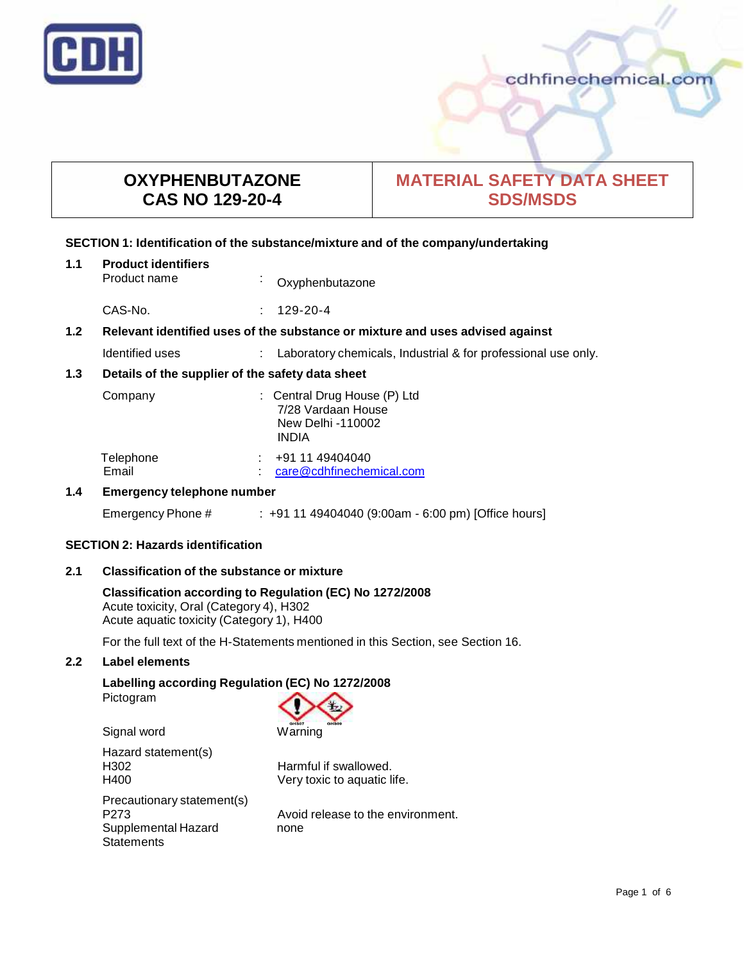

# **OXYPHENBUTAZONE CAS NO 129-20-4**

# **MATERIAL SAFETY DATA SHEET SDS/MSDS**

## **SECTION 1: Identification of the substance/mixture and of the company/undertaking**

| 1.1 | <b>Product identifiers</b><br>Product name                                    | $\epsilon$ | Oxyphenbutazone                                                                         |
|-----|-------------------------------------------------------------------------------|------------|-----------------------------------------------------------------------------------------|
|     | CAS-No.                                                                       |            | 129-20-4                                                                                |
| 1.2 | Relevant identified uses of the substance or mixture and uses advised against |            |                                                                                         |
|     | Identified uses                                                               |            | Laboratory chemicals, Industrial & for professional use only.                           |
| 1.3 | Details of the supplier of the safety data sheet                              |            |                                                                                         |
|     | Company                                                                       |            | : Central Drug House (P) Ltd<br>7/28 Vardaan House<br>New Delhi -110002<br><b>INDIA</b> |
|     | Telephone<br>Email                                                            |            | +91 11 49404040<br>care@cdhfinechemical.com                                             |
| 1.4 | <b>Emergency telephone number</b>                                             |            |                                                                                         |
|     | Emergency Phone #                                                             |            | $: +911149404040(9:00am - 6:00 pm)$ [Office hours]                                      |

## **SECTION 2: Hazards identification**

## **2.1 Classification of the substance ormixture**

**Classification according to Regulation (EC) No 1272/2008** Acute toxicity, Oral (Category 4), H302 Acute aquatic toxicity (Category 1), H400

For the full text of the H-Statements mentioned in this Section, see Section 16.

## **2.2 Label elements**

## **Labelling according Regulation (EC) No 1272/2008**

Pictogram



| Harmful if swallowed.       |
|-----------------------------|
| Very toxic to aquatic life. |
|                             |
| Avoid release to the envi   |
| none                        |
|                             |
|                             |

ase to the environment.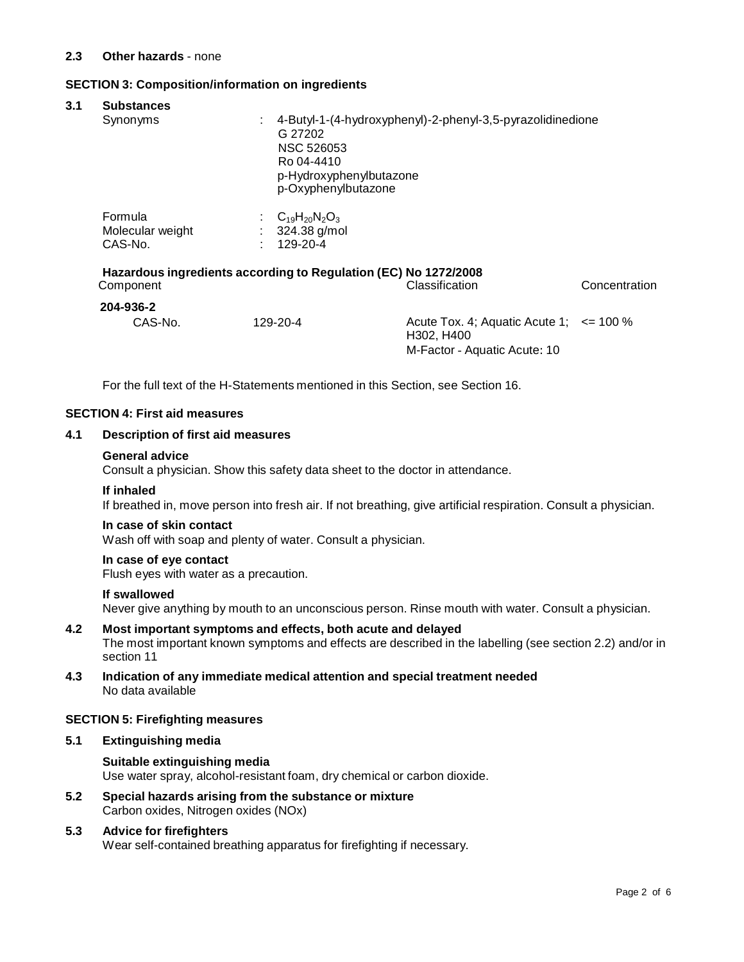## **SECTION 3: Composition/information on ingredients**

| 3.1 | <b>Substances</b>                                                                                               |                                                         |                                                                                                              |  |  |  |  |
|-----|-----------------------------------------------------------------------------------------------------------------|---------------------------------------------------------|--------------------------------------------------------------------------------------------------------------|--|--|--|--|
|     | Synonyms                                                                                                        | ÷<br>G 27202<br><b>NSC 526053</b><br>Ro 04-4410         | 4-Butyl-1-(4-hydroxyphenyl)-2-phenyl-3,5-pyrazolidinedione<br>p-Hydroxyphenylbutazone<br>p-Oxyphenylbutazone |  |  |  |  |
|     | Formula<br>Molecular weight<br>CAS-No.                                                                          | : $C_{19}H_{20}N_2O_3$<br>324.38 g/mol<br>÷<br>129-20-4 |                                                                                                              |  |  |  |  |
|     | Hazardous ingredients according to Regulation (EC) No 1272/2008<br>Classification<br>Concentration<br>Component |                                                         |                                                                                                              |  |  |  |  |
|     | 204-936-2<br>CAS-No.                                                                                            | 129-20-4                                                | Acute Tox. 4; Aquatic Acute 1; $\le$ 100 %<br>H302, H400<br>M-Factor - Aquatic Acute: 10                     |  |  |  |  |

For the full text of the H-Statements mentioned in this Section, see Section 16.

## **SECTION 4: First aid measures**

## **4.1 Description of first aid measures**

#### **General advice**

Consult a physician. Show this safety data sheet to the doctor in attendance.

#### **If inhaled**

If breathed in, move person into fresh air. If not breathing, give artificial respiration. Consult a physician.

#### **In case of skin contact**

Wash off with soap and plenty of water. Consult a physician.

## **In case of eye contact**

Flush eyes with water as a precaution.

## **If swallowed**

Never give anything by mouth to an unconscious person. Rinse mouth with water. Consult a physician.

- **4.2 Most important symptoms and effects, both acute and delayed** The most important known symptoms and effects are described in the labelling (see section 2.2) and/or in section 11
- **4.3 Indication of any immediate medical attention and special treatment needed** No data available

#### **SECTION 5: Firefighting measures**

## **5.1 Extinguishing media**

## **Suitable extinguishing media** Use water spray, alcohol-resistant foam, dry chemical or carbon dioxide.

**5.2 Special hazards arising from the substance ormixture** Carbon oxides, Nitrogen oxides (NOx)

## **5.3 Advice for firefighters**

Wear self-contained breathing apparatus for firefighting if necessary.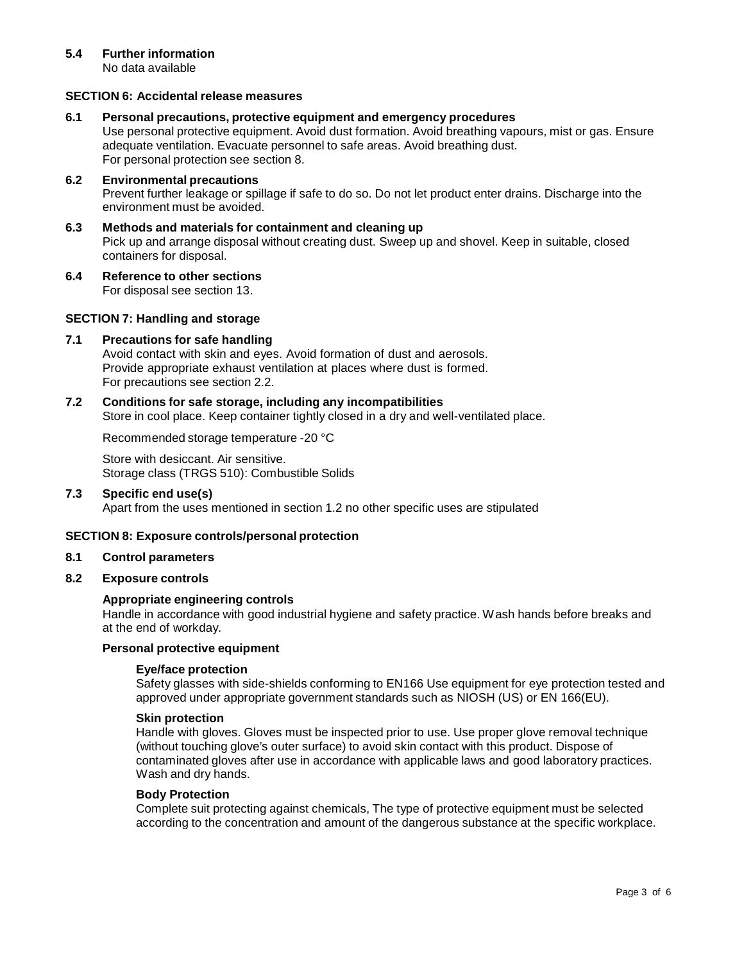## **5.4 Further information**

No data available

## **SECTION 6: Accidental release measures**

**6.1 Personal precautions, protective equipment and emergency procedures**

Use personal protective equipment. Avoid dust formation. Avoid breathing vapours, mist or gas. Ensure adequate ventilation. Evacuate personnel to safe areas. Avoid breathing dust. For personal protection see section 8.

- **6.2 Environmental precautions** Prevent further leakage or spillage if safe to do so. Do not let product enter drains. Discharge into the environment must be avoided.
- **6.3 Methods and materials for containment and cleaning up** Pick up and arrange disposal without creating dust. Sweep up and shovel. Keep in suitable, closed containers for disposal.
- **6.4 Reference to other sections** For disposal see section 13.

## **SECTION 7: Handling and storage**

## **7.1 Precautions for safe handling**

Avoid contact with skin and eyes. Avoid formation of dust and aerosols. Provide appropriate exhaust ventilation at places where dust is formed. For precautions see section 2.2.

## **7.2 Conditions for safe storage, including any incompatibilities**

Store in cool place. Keep container tightly closed in a dry and well-ventilated place.

Recommended storage temperature -20 °C

Store with desiccant. Air sensitive. Storage class (TRGS 510): Combustible Solids

#### **7.3 Specific end use(s)**

Apart from the uses mentioned in section 1.2 no other specific uses are stipulated

## **SECTION 8: Exposure controls/personal protection**

#### **8.1 Control parameters**

**8.2 Exposure controls**

#### **Appropriate engineering controls**

Handle in accordance with good industrial hygiene and safety practice. Wash hands before breaks and at the end of workday.

## **Personal protective equipment**

#### **Eye/face protection**

Safety glasses with side-shields conforming to EN166 Use equipment for eye protection tested and approved under appropriate government standards such as NIOSH (US) or EN 166(EU).

#### **Skin protection**

Handle with gloves. Gloves must be inspected prior to use. Use proper glove removal technique (without touching glove's outer surface) to avoid skin contact with this product. Dispose of contaminated gloves after use in accordance with applicable laws and good laboratory practices. Wash and dry hands.

#### **Body Protection**

Complete suit protecting against chemicals, The type of protective equipment must be selected according to the concentration and amount of the dangerous substance at the specific workplace.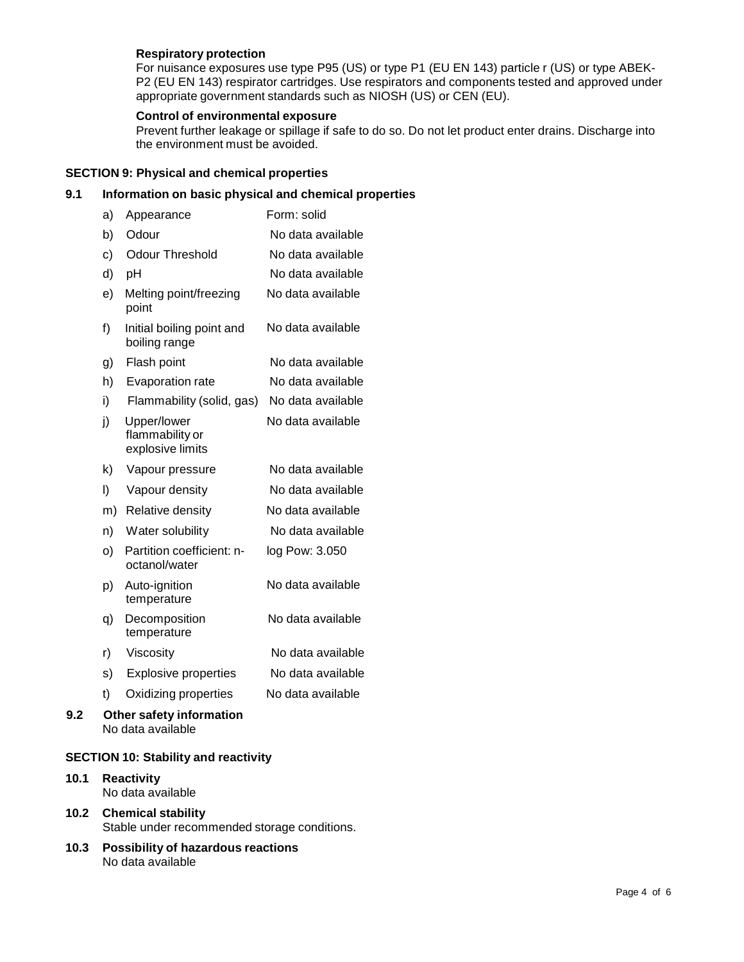## **Respiratory protection**

For nuisance exposures use type P95 (US) or type P1 (EU EN 143) particle r (US) or type ABEK- P2 (EU EN 143) respirator cartridges. Use respirators and components tested and approved under appropriate government standards such as NIOSH (US) or CEN (EU).

## **Control of environmental exposure**

Prevent further leakage or spillage if safe to do so. Do not let product enter drains. Discharge into the environment must be avoided.

## **SECTION 9: Physical and chemical properties**

## **9.1 Information on basic physical and chemical properties**

| a) | Appearance                                         | Form: solid       |
|----|----------------------------------------------------|-------------------|
| b) | Odour                                              | No data available |
| c) | <b>Odour Threshold</b>                             | No data available |
| d) | pH                                                 | No data available |
| e) | Melting point/freezing<br>point                    | No data available |
| f) | Initial boiling point and<br>boiling range         | No data available |
| g) | Flash point                                        | No data available |
| h) | Evaporation rate                                   | No data available |
| i) | Flammability (solid, gas)                          | No data available |
| j) | Upper/lower<br>flammability or<br>explosive limits | No data available |
| k) | Vapour pressure                                    | No data available |
| I) | Vapour density                                     | No data available |
| m) | Relative density                                   | No data available |
| n) | Water solubility                                   | No data available |
| o) | Partition coefficient: n-<br>octanol/water         | log Pow: 3.050    |
| p) | Auto-ignition<br>temperature                       | No data available |
| q) | Decomposition<br>temperature                       | No data available |
| r) | Viscosity                                          | No data available |
| s) | <b>Explosive properties</b>                        | No data available |
| t) | Oxidizing properties                               | No data available |
|    | Other safety information<br>No data available      |                   |
|    |                                                    |                   |

## **SECTION 10: Stability and reactivity**

- **10.1 Reactivity** No data available
- **10.2 Chemical stability** Stable under recommended storage conditions.
- **10.3 Possibility of hazardous reactions** No data available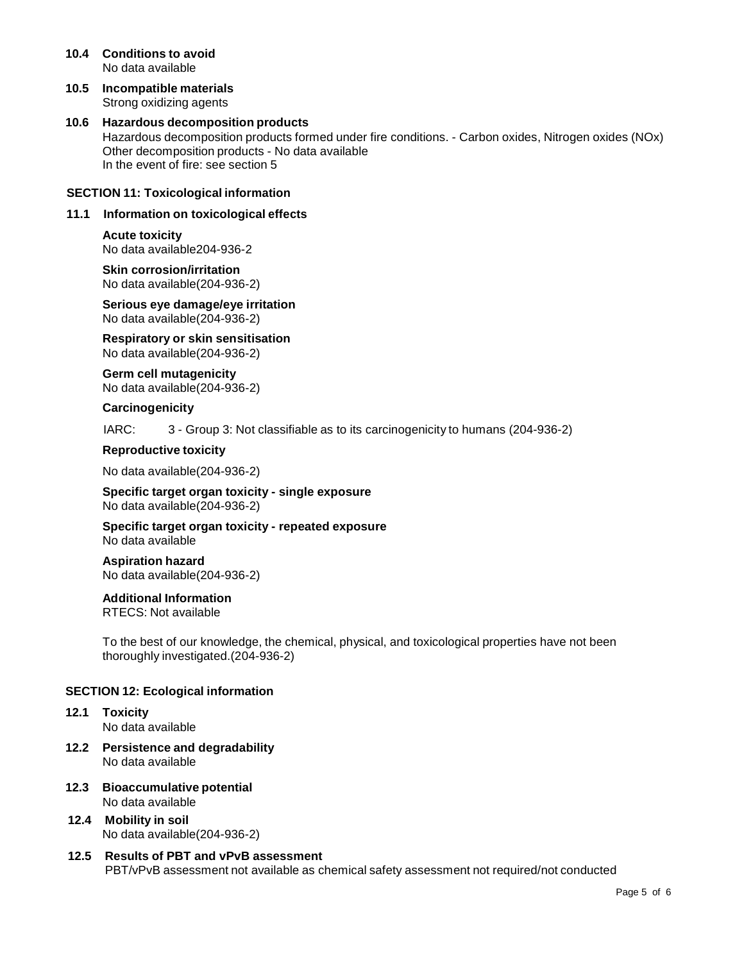- **10.4 Conditions to avoid** No data available
- **10.5 Incompatible materials** Strong oxidizing agents

## **10.6 Hazardous decomposition products** Hazardous decomposition products formed under fire conditions. - Carbon oxides, Nitrogen oxides (NOx) Other decomposition products - No data available In the event of fire: see section 5

## **SECTION 11: Toxicological information**

## **11.1 Information on toxicological effects**

## **Acute toxicity**

No data available204-936-2

**Skin corrosion/irritation** No data available(204-936-2)

**Serious eye damage/eye irritation** No data available(204-936-2)

**Respiratory orskin sensitisation** No data available(204-936-2)

**Germ cell mutagenicity** No data available(204-936-2)

#### **Carcinogenicity**

IARC: 3 - Group 3: Not classifiable as to its carcinogenicity to humans (204-936-2)

#### **Reproductive toxicity**

No data available(204-936-2)

**Specific target organ toxicity - single exposure** No data available(204-936-2)

**Specific target organ toxicity - repeated exposure** No data available

**Aspiration hazard** No data available(204-936-2)

## **Additional Information**

RTECS: Not available

To the best of our knowledge, the chemical, physical, and toxicological properties have not been thoroughly investigated.(204-936-2)

## **SECTION 12: Ecological information**

- **12.1 Toxicity** No data available
- **12.2 Persistence and degradability** No data available
- **12.3 Bioaccumulative potential** No data available
- **12.4 Mobility in soil** No data available(204-936-2)
- **12.5 Results of PBT and vPvB assessment** PBT/vPvB assessment not available as chemical safety assessment not required/not conducted